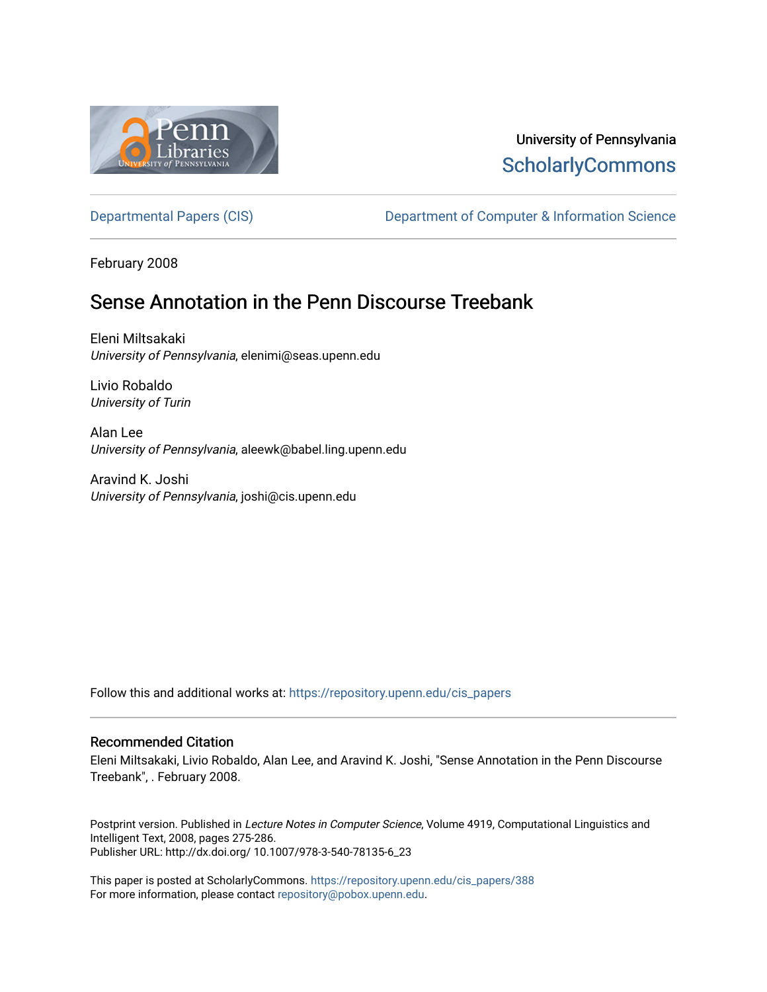

# University of Pennsylvania **ScholarlyCommons**

[Departmental Papers \(CIS\)](https://repository.upenn.edu/cis_papers) Department of Computer & Information Science

February 2008

# Sense Annotation in the Penn Discourse Treebank

Eleni Miltsakaki University of Pennsylvania, elenimi@seas.upenn.edu

Livio Robaldo University of Turin

Alan Lee University of Pennsylvania, aleewk@babel.ling.upenn.edu

Aravind K. Joshi University of Pennsylvania, joshi@cis.upenn.edu

Follow this and additional works at: [https://repository.upenn.edu/cis\\_papers](https://repository.upenn.edu/cis_papers?utm_source=repository.upenn.edu%2Fcis_papers%2F388&utm_medium=PDF&utm_campaign=PDFCoverPages)

#### Recommended Citation

Eleni Miltsakaki, Livio Robaldo, Alan Lee, and Aravind K. Joshi, "Sense Annotation in the Penn Discourse Treebank", . February 2008.

Postprint version. Published in Lecture Notes in Computer Science, Volume 4919, Computational Linguistics and Intelligent Text, 2008, pages 275-286. Publisher URL: http://dx.doi.org/ 10.1007/978-3-540-78135-6\_23

This paper is posted at ScholarlyCommons. [https://repository.upenn.edu/cis\\_papers/388](https://repository.upenn.edu/cis_papers/388)  For more information, please contact [repository@pobox.upenn.edu.](mailto:repository@pobox.upenn.edu)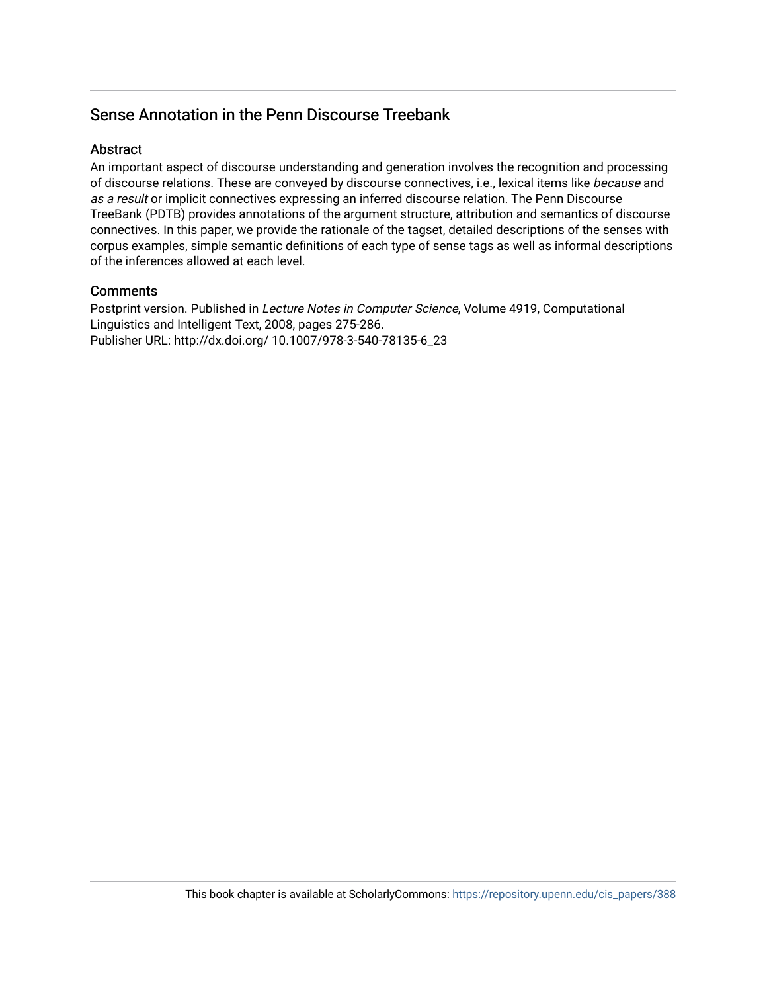## Sense Annotation in the Penn Discourse Treebank

## **Abstract**

An important aspect of discourse understanding and generation involves the recognition and processing of discourse relations. These are conveyed by discourse connectives, i.e., lexical items like because and as a result or implicit connectives expressing an inferred discourse relation. The Penn Discourse TreeBank (PDTB) provides annotations of the argument structure, attribution and semantics of discourse connectives. In this paper, we provide the rationale of the tagset, detailed descriptions of the senses with corpus examples, simple semantic definitions of each type of sense tags as well as informal descriptions of the inferences allowed at each level.

## **Comments**

Postprint version. Published in Lecture Notes in Computer Science, Volume 4919, Computational Linguistics and Intelligent Text, 2008, pages 275-286. Publisher URL: http://dx.doi.org/ 10.1007/978-3-540-78135-6\_23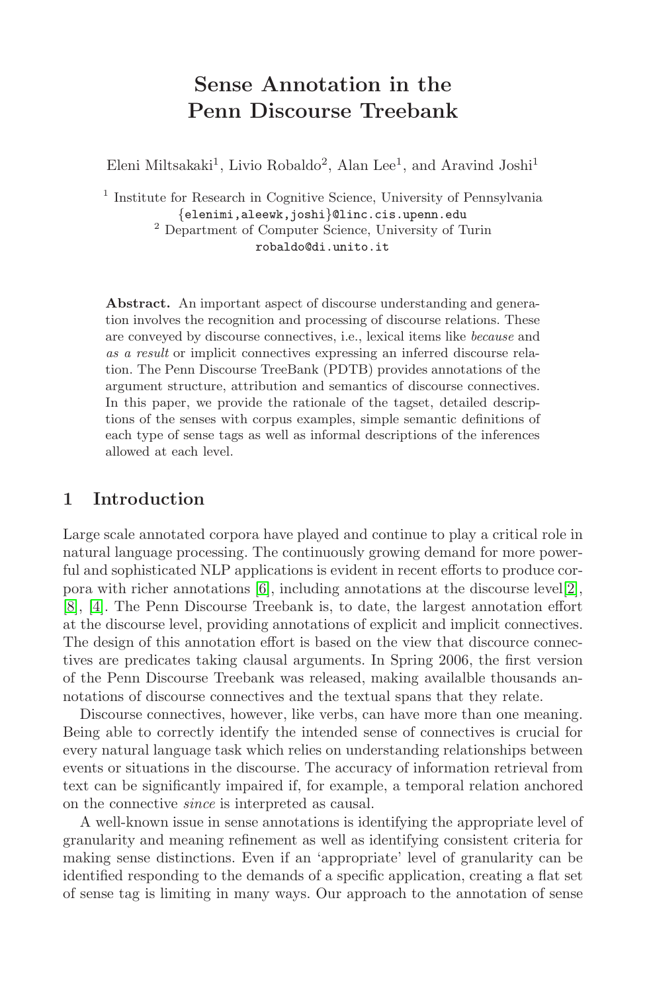## **Sense Annotation in the Penn Discourse Treebank**

Eleni Miltsakaki<sup>1</sup>, Livio Robaldo<sup>2</sup>, Alan Lee<sup>1</sup>, and Aravind Joshi<sup>1</sup>

<sup>1</sup> Institute for Research in Cognitive Science, University of Pennsylvania {elenimi,aleewk,joshi}@linc.cis.upenn.edu <sup>2</sup> Department of Computer Science, University of Turin robaldo@di.unito.it

**Abstract.** An important aspect of discourse understanding and generation involves the recognition and processing of discourse relations. These are conveyed by discourse connectives, i.e., lexical items like because and as a result or implicit connectives expressing an inferred discourse relation. The Penn Discourse TreeBank (PDTB) provides annotations of the argument structure, attribution and semantics of discourse connectives. In this paper, we provide the rationale of the tagset, detailed descriptions of the senses with corpus examples, simple semantic definitions of each type of sense tags as well as informal descriptions of the inferences allowed at each level.

#### **1 Introduction**

Large scale annotated corpora have played and continue to play a critical role in natural language processing. The continuously growing demand for more powerful and sophisticated NLP applications is evident in recent efforts to produce corpora with richer annotations [\[6\]](#page-13-0), including annotations at the discourse level[\[2\]](#page-12-0), [\[8\]](#page-13-1), [\[4\]](#page-13-2). The Penn Discourse Treebank is, to date, the largest annotation effort at the discourse level, providing annotations of explicit and implicit connectives. The design of this annotation effort is based on the view that discource connectives are predicates taking clausal arguments. In Spring 2006, the first version of the Penn Discourse Treebank was released, making availalble thousands annotations of discourse connectives and the textual spans that they relate.

Discourse connectives, however, like verbs, can have more than one meaning. Being able to correctly identify the intended sense of connectives is crucial for every natural language task which relies on understanding relationships between events or situations in the discourse. The accuracy of information retrieval from text can be significantly impaired if, for example, a temporal relation anchored on the connective since is interpreted as causal.

A well-known issue in sense annotations is identifying the appropriate level of granularity and meaning refinement as well as identifying consistent criteria for making sense distinctions. Even if an 'appropriate' level of granularity can be identified responding to the demands of a specific application, creating a flat set of sense tag is limiting in many ways. Our approach to the annotation of sense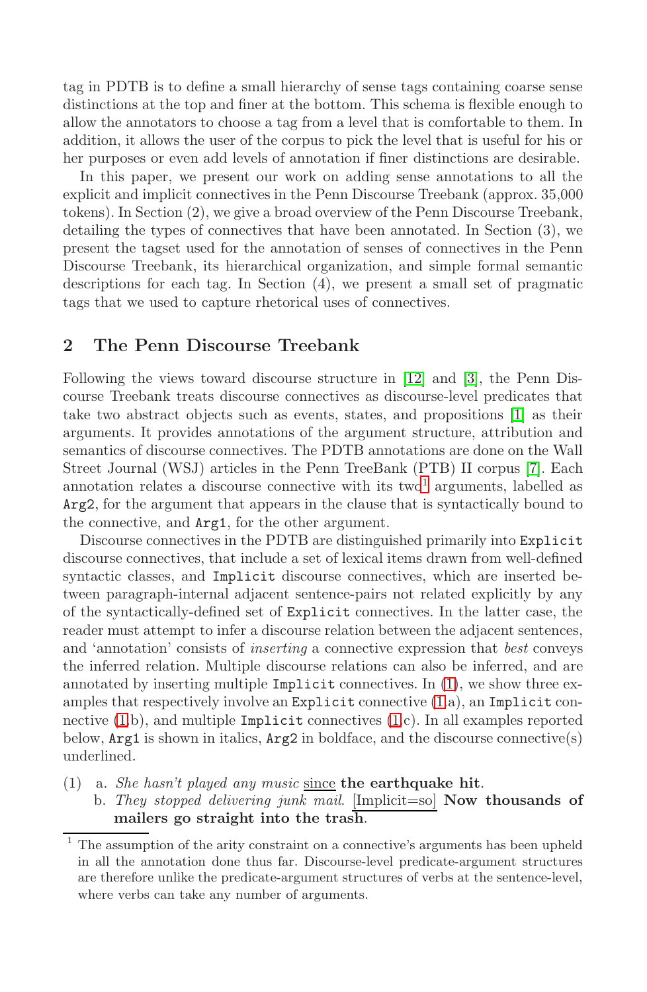tag in PDTB is to define a small hierarchy of sense tags containing coarse sense distinctions at the top and finer at the bottom. This schema is flexible enough to allow the annotators to choose a tag from a level that is comfortable to them. In addition, it allows the user of the corpus to pick the level that is useful for his or her purposes or even add levels of annotation if finer distinctions are desirable.

In this paper, we present our work on adding sense annotations to all the explicit and implicit connectives in the Penn Discourse Treebank (approx. 35,000 tokens). In Section (2), we give a broad overview of the Penn Discourse Treebank, detailing the types of connectives that have been annotated. In Section (3), we present the tagset used for the annotation of senses of connectives in the Penn Discourse Treebank, its hierarchical organization, and simple formal semantic descriptions for each tag. In Section (4), we present a small set of pragmatic tags that we used to capture rhetorical uses of connectives.

#### **2 The Penn Discourse Treebank**

Following the views toward discourse structure in [\[12\]](#page-13-3) and [\[3\]](#page-12-1), the Penn Discourse Treebank treats discourse connectives as discourse-level predicates that take two abstract objects such as events, states, and propositions [\[1\]](#page-12-2) as their arguments. It provides annotations of the argument structure, attribution and semantics of discourse connectives. The PDTB annotations are done on the Wall Street Journal (WSJ) articles in the Penn TreeBank (PTB) II corpus [\[7\]](#page-13-4). Each annotation relates a discourse connective with its two<sup>1</sup> arguments, labelled as Arg2, for the argument that appears in the clause that is syntactically bound to the connective, and Arg1, for the other argument.

Discourse connectives in the PDTB are distinguished primarily into Explicit discourse connectives, that include a set of lexical items drawn from well-defined syntactic classes, and Implicit discourse connectives, which are inserted between paragraph-internal adjacent sentence-pairs not related explicitly by any of the syntactically-defined set of Explicit connectives. In the latter case, the reader must attempt to infer a discourse relation between the adjacent sentences, and 'annotation' consists of inserting a connective expression that best conveys the inferred relation. Multiple discourse relations can also be inferred, and are annotated by inserting multiple Implicit connectives. In [\(1\)](#page-3-0), we show three examples that respectively involve an Explicit connective [\(1.](#page-3-0)a), an Implicit connective [\(1.](#page-3-0)b), and multiple Implicit connectives [\(1.](#page-3-0)c). In all examples reported below, Arg1 is shown in italics, Arg2 in boldface, and the discourse connective(s) underlined.

<span id="page-3-0"></span>(1) a. She hasn't played any music since **the earthquake hit**. b. They stopped delivering junk mail. [Implicit=so] **Now thousands of mailers go straight into the trash**.

<sup>1</sup> The assumption of the arity constraint on a connective's arguments has been upheld in all the annotation done thus far. Discourse-level predicate-argument structures are therefore unlike the predicate-argument structures of verbs at the sentence-level, where verbs can take any number of arguments.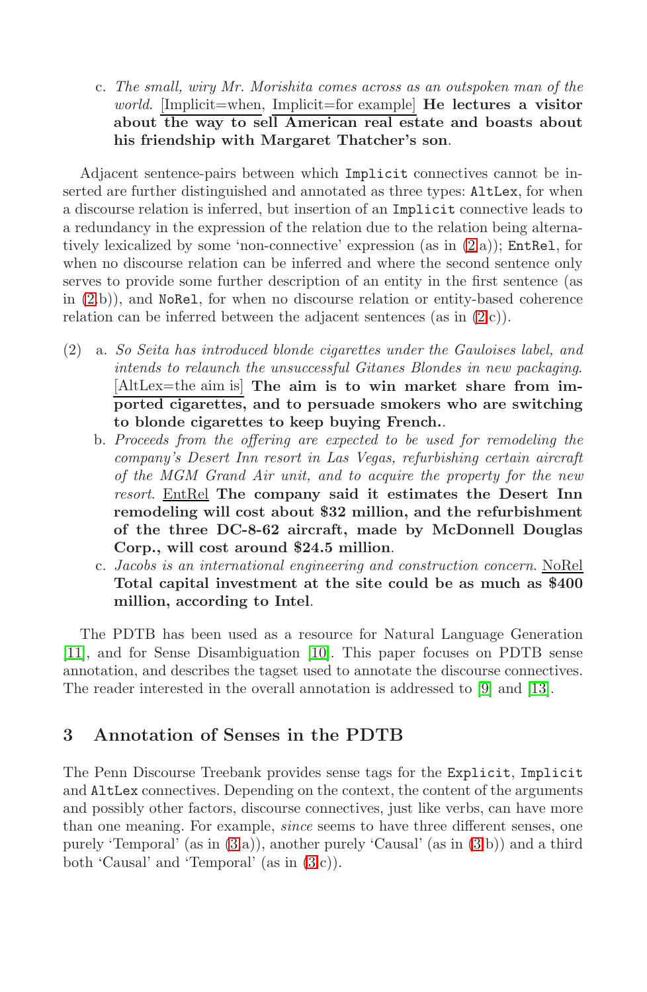c. The small, wiry Mr. Morishita comes across as an outspoken man of the world. [Implicit=when, Implicit=for example] **He lectures a visitor about the way to sell American real estate and boasts about his friendship with Margaret Thatcher's son**.

Adjacent sentence-pairs between which Implicit connectives cannot be inserted are further distinguished and annotated as three types: AltLex, for when a discourse relation is inferred, but insertion of an Implicit connective leads to a redundancy in the expression of the relation due to the relation being alternatively lexicalized by some 'non-connective' expression (as in [\(2.](#page-4-0)a)); EntRel, for when no discourse relation can be inferred and where the second sentence only serves to provide some further description of an entity in the first sentence (as in [\(2.](#page-4-0)b)), and NoRel, for when no discourse relation or entity-based coherence relation can be inferred between the adjacent sentences (as in  $(2.c)$  $(2.c)$ ).

- <span id="page-4-0"></span>(2) a. So Seita has introduced blonde cigarettes under the Gauloises label, and intends to relaunch the unsuccessful Gitanes Blondes in new packaging. [AltLex=the aim is] **The aim is to win market share from imported cigarettes, and to persuade smokers who are switching to blonde cigarettes to keep buying French.**.
	- b. Proceeds from the offering are expected to be used for remodeling the company's Desert Inn resort in Las Vegas, refurbishing certain aircraft of the MGM Grand Air unit, and to acquire the property for the new resort. EntRel **The company said it estimates the Desert Inn remodeling will cost about \$32 million, and the refurbishment of the three DC-8-62 aircraft, made by McDonnell Douglas Corp., will cost around \$24.5 million**.
	- c. Jacobs is an international engineering and construction concern. NoRel **Total capital investment at the site could be as much as \$400 million, according to Intel**.

The PDTB has been used as a resource for Natural Language Generation [\[11\]](#page-13-5), and for Sense Disambiguation [\[10\]](#page-13-6). This paper focuses on PDTB sense annotation, and describes the tagset used to annotate the discourse connectives. The reader interested in the overall annotation is addressed to [\[9\]](#page-13-7) and [\[13\]](#page-13-8).

#### **3 Annotation of Senses in the PDTB**

The Penn Discourse Treebank provides sense tags for the Explicit, Implicit and AltLex connectives. Depending on the context, the content of the arguments and possibly other factors, discourse connectives, just like verbs, can have more than one meaning. For example, *since* seems to have three different senses, one purely 'Temporal' (as in [\(3.](#page-5-0)a)), another purely 'Causal' (as in [\(3.](#page-5-0)b)) and a third both 'Causal' and 'Temporal' (as in [\(3.](#page-5-0)c)).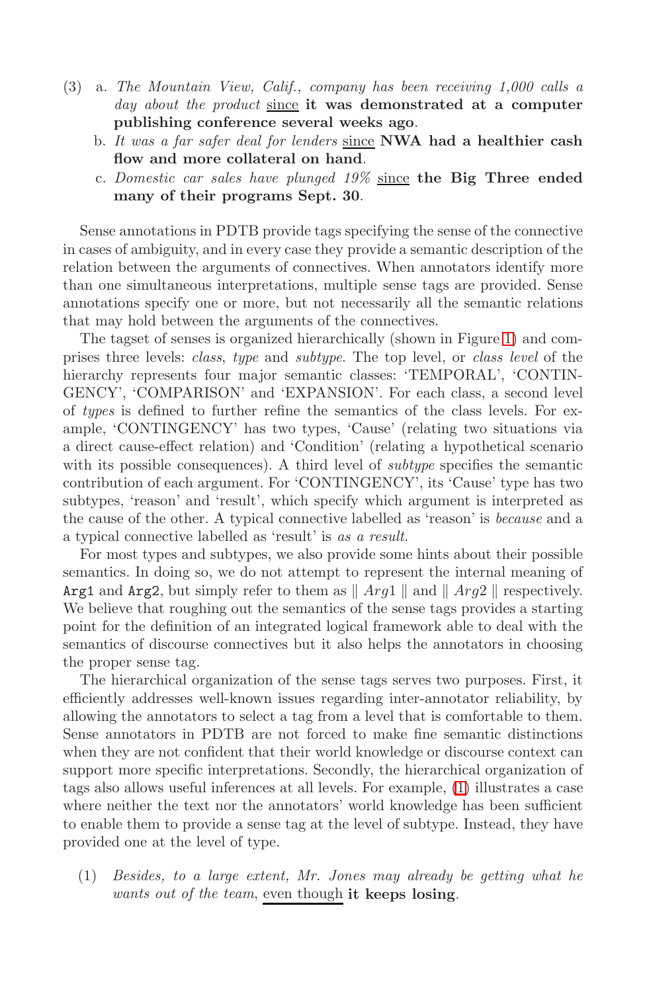- <span id="page-5-0"></span>(3) a. The Mountain View, Calif., company has been receiving 1,000 calls a day about the product since **it was demonstrated at a computer publishing conference several weeks ago**.
	- b. It was a far safer deal for lenders since **NWA had a healthier cash flow and more collateral on hand**.
	- c. Domestic car sales have plunged 19% since **the Big Three ended many of their programs Sept. 30**.

Sense annotations in PDTB provide tags specifying the sense of the connective in cases of ambiguity, and in every case they provide a semantic description of the relation between the arguments of connectives. When annotators identify more than one simultaneous interpretations, multiple sense tags are provided. Sense annotations specify one or more, but not necessarily all the semantic relations that may hold between the arguments of the connectives.

The tagset of senses is organized hierarchically (shown in Figure [1\)](#page-6-0) and comprises three levels: class, type and subtype. The top level, or class level of the hierarchy represents four major semantic classes: 'TEMPORAL', 'CONTIN-GENCY', 'COMPARISON' and 'EXPANSION'. For each class, a second level of types is defined to further refine the semantics of the class levels. For example, 'CONTINGENCY' has two types, 'Cause' (relating two situations via a direct cause-effect relation) and 'Condition' (relating a hypothetical scenario with its possible consequences). A third level of *subtype* specifies the semantic contribution of each argument. For 'CONTINGENCY', its 'Cause' type has two subtypes, 'reason' and 'result', which specify which argument is interpreted as the cause of the other. A typical connective labelled as 'reason' is because and a a typical connective labelled as 'result' is as a result.

For most types and subtypes, we also provide some hints about their possible semantics. In doing so, we do not attempt to represent the internal meaning of Arg1 and Arg2, but simply refer to them as  $||Arg1||$  and  $||Arg2||$  respectively. We believe that roughing out the semantics of the sense tags provides a starting point for the definition of an integrated logical framework able to deal with the semantics of discourse connectives but it also helps the annotators in choosing the proper sense tag.

The hierarchical organization of the sense tags serves two purposes. First, it efficiently addresses well-known issues regarding inter-annotator reliability, by allowing the annotators to select a tag from a level that is comfortable to them. Sense annotators in PDTB are not forced to make fine semantic distinctions when they are not confident that their world knowledge or discourse context can support more specific interpretations. Secondly, the hierarchical organization of tags also allows useful inferences at all levels. For example, [\(1\)](#page-5-1) illustrates a case where neither the text nor the annotators' world knowledge has been sufficient to enable them to provide a sense tag at the level of subtype. Instead, they have provided one at the level of type.

<span id="page-5-1"></span>(1) Besides, to a large extent, Mr. Jones may already be getting what he wants out of the team, even though **it keeps losing**.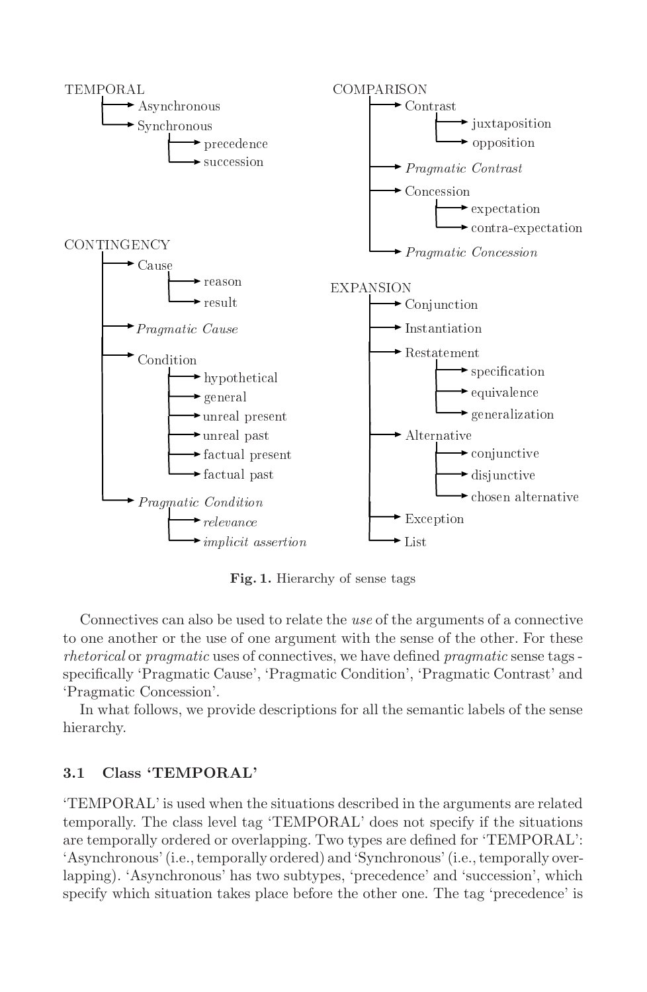

<span id="page-6-0"></span>**Fig. 1.** Hierarchy of sense tags

Connectives can also be used to relate the use of the arguments of a connective to one another or the use of one argument with the sense of the other. For these rhetorical or pragmatic uses of connectives, we have defined pragmatic sense tags specifically 'Pragmatic Cause', 'Pragmatic Condition', 'Pragmatic Contrast' and 'Pragmatic Concession'.

In what follows, we provide descriptions for all the semantic labels of the sense hierarchy.

#### **3.1 Class 'TEMPORAL'**

'TEMPORAL' is used when the situations described in the arguments are related temporally. The class level tag 'TEMPORAL' does not specify if the situations are temporally ordered or overlapping. Two types are defined for 'TEMPORAL': 'Asynchronous'(i.e.,temporallyordered)and'Synchronous'(i.e.,temporallyoverlapping). 'Asynchronous' has two subtypes, 'precedence' and 'succession', which specify which situation takes place before the other one. The tag 'precedence' is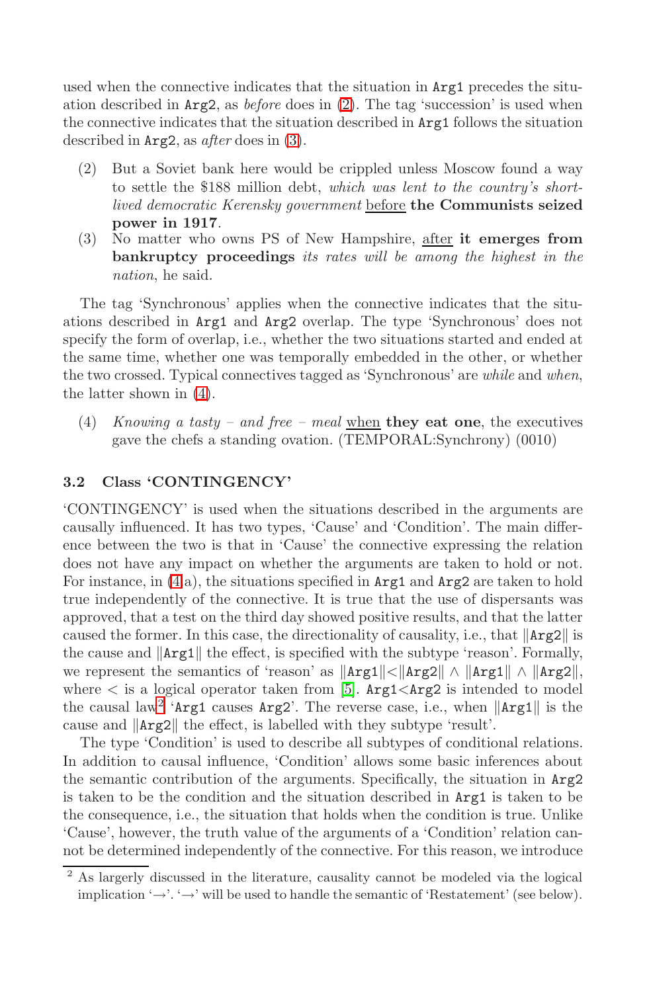used when the connective indicates that the situation in Arg1 precedes the situation described in Arg2, as before does in [\(2\)](#page-7-0). The tag 'succession' is used when the connective indicates that the situation described in Arg1 follows the situation described in Arg2, as after does in [\(3\)](#page-7-1).

- <span id="page-7-0"></span>(2) But a Soviet bank here would be crippled unless Moscow found a way to settle the \$188 million debt, which was lent to the country's shortlived democratic Kerensky government before **the Communists seized power in 1917**.
- <span id="page-7-1"></span>(3) No matter who owns PS of New Hampshire, after **it emerges from bankruptcy proceedings** its rates will be among the highest in the nation, he said.

The tag 'Synchronous' applies when the connective indicates that the situations described in Arg1 and Arg2 overlap. The type 'Synchronous' does not specify the form of overlap, i.e., whether the two situations started and ended at the same time, whether one was temporally embedded in the other, or whether the two crossed. Typical connectives tagged as 'Synchronous' are while and when, the latter shown in [\(4\)](#page-7-2).

<span id="page-7-2"></span>(4) Knowing a tasty – and free – meal when **they eat one**, the executives gave the chefs a standing ovation. (TEMPORAL:Synchrony) (0010)

#### **3.2 Class 'CONTINGENCY'**

'CONTINGENCY' is used when the situations described in the arguments are causally influenced. It has two types, 'Cause' and 'Condition'. The main difference between the two is that in 'Cause' the connective expressing the relation does not have any impact on whether the arguments are taken to hold or not. For instance, in [\(4.](#page-8-0)a), the situations specified in Arg1 and Arg2 are taken to hold true independently of the connective. It is true that the use of dispersants was approved, that a test on the third day showed positive results, and that the latter caused the former. In this case, the directionality of causality, i.e., that  $\|\text{Arg2}\|$  is the cause and  $\Vert \text{Arg1} \Vert$  the effect, is specified with the subtype 'reason'. Formally, we represent the semantics of 'reason' as  $\|\text{Arg1}\| < \|\text{Arg2}\| \wedge \|\text{Arg1}\| \wedge \|\text{Arg2}\|$ , where  $\lt$  is a logical operator taken from [\[5\]](#page-13-9). Arg1 $\lt$ Arg2 is intended to model the causal law<sup>2</sup> 'Arg1 causes Arg2'. The reverse case, i.e., when  $\|\text{Arg1}\|$  is the cause and  $\|\text{Arg2}\|$  the effect, is labelled with they subtype 'result'.

The type 'Condition' is used to describe all subtypes of conditional relations. In addition to causal influence, 'Condition' allows some basic inferences about the semantic contribution of the arguments. Specifically, the situation in Arg2 is taken to be the condition and the situation described in Arg1 is taken to be the consequence, i.e., the situation that holds when the condition is true. Unlike 'Cause', however, the truth value of the arguments of a 'Condition' relation cannot be determined independently of the connective. For this reason, we introduce

<sup>2</sup> As largerly discussed in the literature, causality cannot be modeled via the logical implication ' $\rightarrow$ '. ' $\rightarrow$ ' will be used to handle the semantic of 'Restatement' (see below).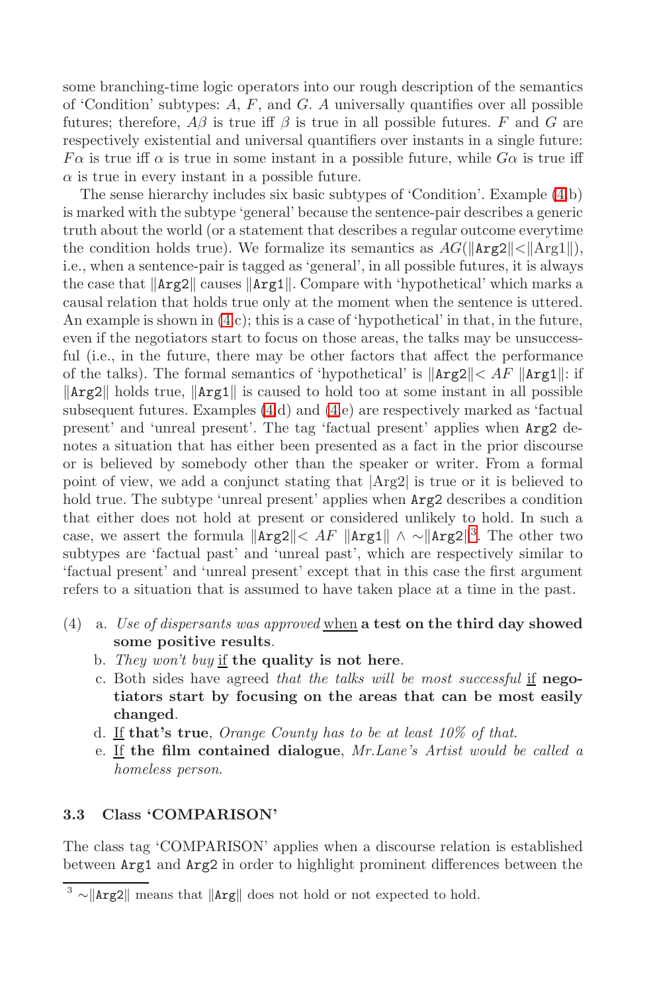some branching-time logic operators into our rough description of the semantics of 'Condition' subtypes:  $A$ ,  $F$ , and  $G$ .  $A$  universally quantifies over all possible futures; therefore,  $A\beta$  is true iff  $\beta$  is true in all possible futures. F and G are respectively existential and universal quantifiers over instants in a single future:  $F\alpha$  is true iff  $\alpha$  is true in some instant in a possible future, while  $G\alpha$  is true iff  $\alpha$  is true in every instant in a possible future.

The sense hierarchy includes six basic subtypes of 'Condition'. Example [\(4.](#page-8-0)b) is marked with the subtype 'general' because the sentence-pair describes a generic truth about the world (or a statement that describes a regular outcome everytime the condition holds true). We formalize its semantics as  $AG(\Vert \text{Arg2} \Vert \leq \Vert \text{Arg1} \Vert)$ , i.e., when a sentence-pair is tagged as 'general', in all possible futures, it is always the case that  $\|\text{Arg2}\|$  causes  $\|\text{Arg1}\|$ . Compare with 'hypothetical' which marks a causal relation that holds true only at the moment when the sentence is uttered. An example is shown in  $(4,c)$ ; this is a case of 'hypothetical' in that, in the future, even if the negotiators start to focus on those areas, the talks may be unsuccessful (i.e., in the future, there may be other factors that affect the performance of the talks). The formal semantics of 'hypothetical' is  $\|\text{Arg2}\| < AF \|\text{Arg1}\|$ : if  $\|\text{Arg2}\|$  holds true,  $\|\text{Arg1}\|$  is caused to hold too at some instant in all possible subsequent futures. Examples [\(4.](#page-8-0)d) and [\(4.](#page-8-0)e) are respectively marked as 'factual present' and 'unreal present'. The tag 'factual present' applies when Arg2 denotes a situation that has either been presented as a fact in the prior discourse or is believed by somebody other than the speaker or writer. From a formal point of view, we add a conjunct stating that |Arg2| is true or it is believed to hold true. The subtype 'unreal present' applies when  $Arg2$  describes a condition that either does not hold at present or considered unlikely to hold. In such a case, we assert the formula  $\|\text{Arg2}\| < AF \|\text{Arg1}\| \wedge \sim \|\text{Arg2}\|^3$ . The other two subtypes are 'factual past' and 'unreal past', which are respectively similar to 'factual present' and 'unreal present' except that in this case the first argument refers to a situation that is assumed to have taken place at a time in the past.

- <span id="page-8-0"></span>(4) a. Use of dispersants was approved when **a test on the third day showed some positive results**.
	- b. They won't buy if **the quality is not here**.
	- c. Both sides have agreed that the talks will be most successful if **negotiators start by focusing on the areas that can be most easily changed**.
	- d. If **that's true**, Orange County has to be at least 10% of that.
	- e. If **the film contained dialogue**, Mr.Lane's Artist would be called a homeless person.

#### **3.3 Class 'COMPARISON'**

The class tag 'COMPARISON' applies when a discourse relation is established between Arg1 and Arg2 in order to highlight prominent differences between the

 $3 \sim$ ||Arg2|| means that ||Arg|| does not hold or not expected to hold.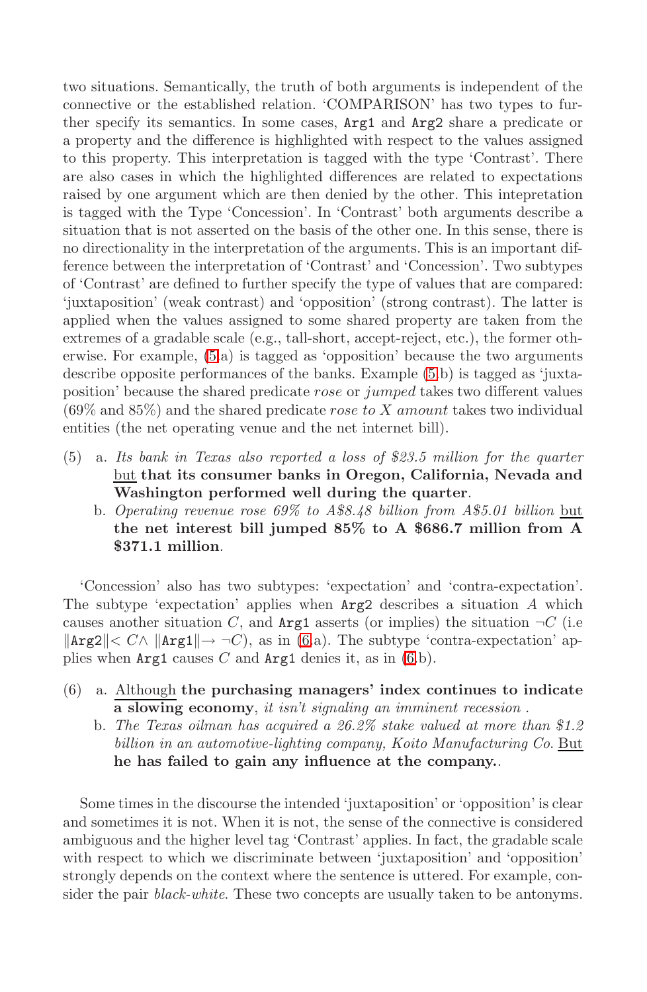two situations. Semantically, the truth of both arguments is independent of the connective or the established relation. 'COMPARISON' has two types to further specify its semantics. In some cases, Arg1 and Arg2 share a predicate or a property and the difference is highlighted with respect to the values assigned to this property. This interpretation is tagged with the type 'Contrast'. There are also cases in which the highlighted differences are related to expectations raised by one argument which are then denied by the other. This intepretation is tagged with the Type 'Concession'. In 'Contrast' both arguments describe a situation that is not asserted on the basis of the other one. In this sense, there is no directionality in the interpretation of the arguments. This is an important difference between the interpretation of 'Contrast' and 'Concession'. Two subtypes of 'Contrast' are defined to further specify the type of values that are compared: 'juxtaposition' (weak contrast) and 'opposition' (strong contrast). The latter is applied when the values assigned to some shared property are taken from the extremes of a gradable scale (e.g., tall-short, accept-reject, etc.), the former otherwise. For example, [\(5.](#page-9-0)a) is tagged as 'opposition' because the two arguments describe opposite performances of the banks. Example [\(5.](#page-9-0)b) is tagged as 'juxtaposition' because the shared predicate rose or jumped takes two different values  $(69\% \text{ and } 85\%)$  and the shared predicate rose to X amount takes two individual entities (the net operating venue and the net internet bill).

- <span id="page-9-0"></span>(5) a. Its bank in Texas also reported a loss of *\$*23.5 million for the quarter but **that its consumer banks in Oregon, California, Nevada and Washington performed well during the quarter**.
	- b. Operating revenue rose 69% to A*\$*8.48 billion from A*\$*5.01 billion but **the net interest bill jumped 85% to A \$686.7 million from A \$371.1 million**.

'Concession' also has two subtypes: 'expectation' and 'contra-expectation'. The subtype 'expectation' applies when  $Arg2$  describes a situation A which causes another situation C, and Arg1 asserts (or implies) the situation  $\neg C$  (i.e.  $\|\text{Arg2}\| < C\wedge \|\text{Arg1}\| \rightarrow \neg C$ , as in [\(6.](#page-9-1)a). The subtype 'contra-expectation' applies when  $Arg1$  causes C and  $Arg1$  denies it, as in [\(6.](#page-9-1)b).

- <span id="page-9-1"></span>(6) a. Although **the purchasing managers' index continues to indicate a slowing economy**, it isn't signaling an imminent recession .
	- b. The Texas oilman has acquired a 26.2% stake valued at more than *\$*1.2 billion in an automotive-lighting company, Koito Manufacturing Co. But **he has failed to gain any influence at the company.**.

Some times in the discourse the intended 'juxtaposition' or 'opposition' is clear and sometimes it is not. When it is not, the sense of the connective is considered ambiguous and the higher level tag 'Contrast' applies. In fact, the gradable scale with respect to which we discriminate between 'juxtaposition' and 'opposition' strongly depends on the context where the sentence is uttered. For example, consider the pair *black-white*. These two concepts are usually taken to be antonyms.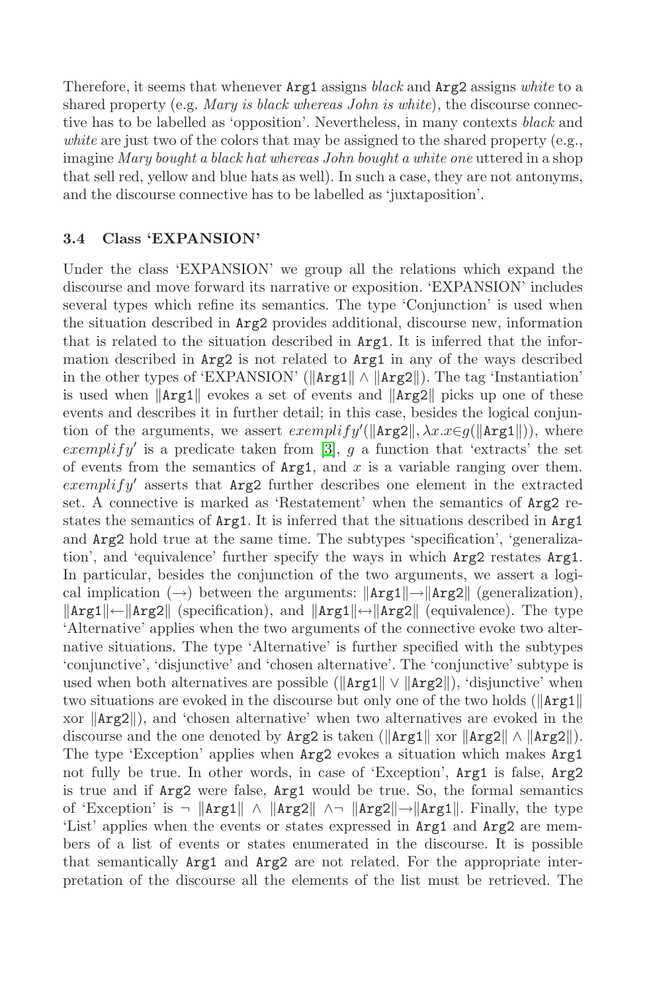Therefore, it seems that whenever  $Arg1$  assigns black and  $Arg2$  assigns white to a shared property (e.g. Mary is black whereas John is white), the discourse connective has to be labelled as 'opposition'. Nevertheless, in many contexts black and white are just two of the colors that may be assigned to the shared property (e.g., imagine Mary bought a black hat whereas John bought a white one uttered in a shop that sell red, yellow and blue hats as well). In such a case, they are not antonyms, and the discourse connective has to be labelled as 'juxtaposition'.

#### **3.4 Class 'EXPANSION'**

Under the class 'EXPANSION' we group all the relations which expand the discourse and move forward its narrative or exposition. 'EXPANSION' includes several types which refine its semantics. The type 'Conjunction' is used when the situation described in Arg2 provides additional, discourse new, information that is related to the situation described in Arg1. It is inferred that the information described in Arg2 is not related to Arg1 in any of the ways described in the other types of 'EXPANSION' ( $\|\text{Arg1}\| \wedge \|\text{Arg2}\|$ ). The tag 'Instantiation' is used when  $\|\text{Arg1}\|$  evokes a set of events and  $\|\text{Arg2}\|$  picks up one of these events and describes it in further detail; in this case, besides the logical conjuntion of the arguments, we assert  $exemplify(||Arg2||, \lambda x.x \in g(||Arg1||))$ , where exemplify' is a predicate taken from [\[3\]](#page-12-1),  $g$  a function that 'extracts' the set of events from the semantics of  $Arg1$ , and x is a variable ranging over them. exemplify' asserts that  $Arg2$  further describes one element in the extracted set. A connective is marked as 'Restatement' when the semantics of Arg2 restates the semantics of Arg1. It is inferred that the situations described in Arg1 and Arg2 hold true at the same time. The subtypes 'specification', 'generalization', and 'equivalence' further specify the ways in which Arg2 restates Arg1. In particular, besides the conjunction of the two arguments, we assert a logical implication  $(\rightarrow)$  between the arguments:  $\|\text{Arg1}\| \rightarrow \|\text{Arg2}\|$  (generalization),  $\|\text{Arg1}\| \leftarrow \|\text{Arg2}\|$  (specification), and  $\|\text{Arg1}\| \leftarrow \|\text{Arg2}\|$  (equivalence). The type 'Alternative' applies when the two arguments of the connective evoke two alternative situations. The type 'Alternative' is further specified with the subtypes 'conjunctive', 'disjunctive' and 'chosen alternative'. The 'conjunctive' subtype is used when both alternatives are possible ( $\|\text{Arg1}\| \vee \|\text{Arg2}\|$ ), 'disjunctive' when two situations are evoked in the discourse but only one of the two holds ( $\|\text{Arg1}\|$ xor  $\|\text{Arg2}\|$ , and 'chosen alternative' when two alternatives are evoked in the discourse and the one denoted by  $Arg2$  is taken ( $\|Arg1\| \times \arg2\| \wedge \|\arg2\|$ ). The type 'Exception' applies when Arg2 evokes a situation which makes Arg1 not fully be true. In other words, in case of 'Exception', Arg1 is false, Arg2 is true and if Arg2 were false, Arg1 would be true. So, the formal semantics of 'Exception' is  $\neg$   $\|\text{Arg1}\| \wedge \|\text{Arg2}\| \wedge \neg$   $\|\text{Arg2}\| \rightarrow \|\text{Arg1}\|$ . Finally, the type 'List' applies when the events or states expressed in Arg1 and Arg2 are members of a list of events or states enumerated in the discourse. It is possible that semantically Arg1 and Arg2 are not related. For the appropriate interpretation of the discourse all the elements of the list must be retrieved. The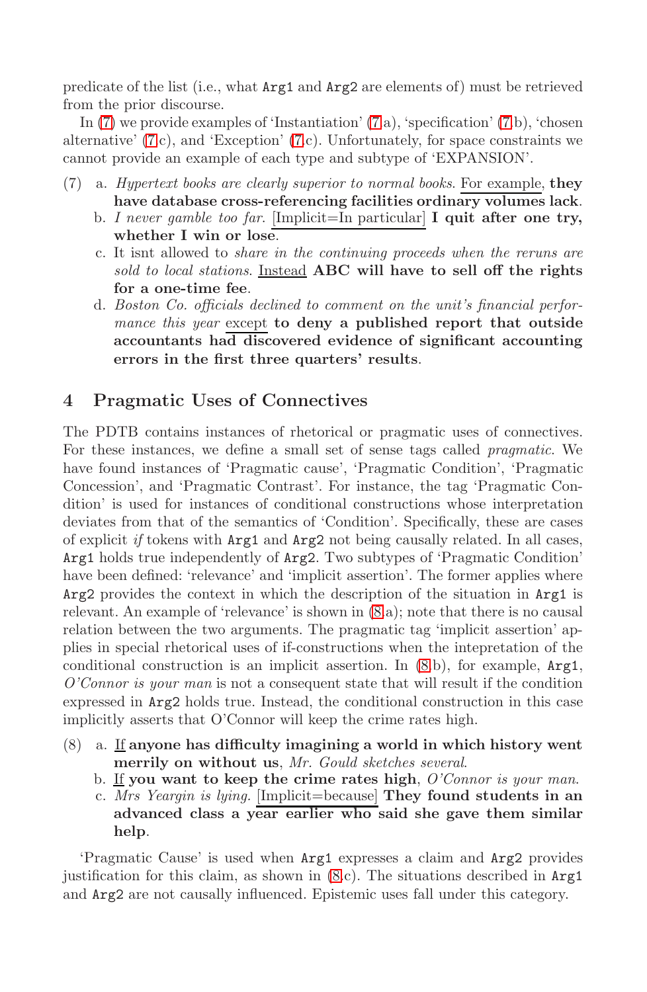predicate of the list (i.e., what Arg1 and Arg2 are elements of) must be retrieved from the prior discourse.

In [\(7\)](#page-11-0) we provide examples of 'Instantiation' [\(7.](#page-11-0)a), 'specification' [\(7.](#page-11-0)b), 'chosen alternative' [\(7.](#page-11-0)c), and 'Exception' [\(7.](#page-11-0)c). Unfortunately, for space constraints we cannot provide an example of each type and subtype of 'EXPANSION'.

- <span id="page-11-0"></span>(7) a. Hypertext books are clearly superior to normal books. For example, **they have database cross-referencing facilities ordinary volumes lack**.
	- b. I never gamble too far. [Implicit=In particular] **I quit after one try, whether I win or lose**.
	- c. It isnt allowed to share in the continuing proceeds when the reruns are sold to local stations. Instead **ABC will have to sell off the rights for a one-time fee**.
	- d. Boston Co. officials declined to comment on the unit's financial performance this year except **to deny a published report that outside accountants had discovered evidence of significant accounting errors in the first three quarters' results**.

## **4 Pragmatic Uses of Connectives**

The PDTB contains instances of rhetorical or pragmatic uses of connectives. For these instances, we define a small set of sense tags called pragmatic. We have found instances of 'Pragmatic cause', 'Pragmatic Condition', 'Pragmatic Concession', and 'Pragmatic Contrast'. For instance, the tag 'Pragmatic Condition' is used for instances of conditional constructions whose interpretation deviates from that of the semantics of 'Condition'. Specifically, these are cases of explicit if tokens with Arg1 and Arg2 not being causally related. In all cases, Arg1 holds true independently of Arg2. Two subtypes of 'Pragmatic Condition' have been defined: 'relevance' and 'implicit assertion'. The former applies where Arg2 provides the context in which the description of the situation in Arg1 is relevant. An example of 'relevance' is shown in [\(8.](#page-11-1)a); note that there is no causal relation between the two arguments. The pragmatic tag 'implicit assertion' applies in special rhetorical uses of if-constructions when the intepretation of the conditional construction is an implicit assertion. In [\(8.](#page-11-1)b), for example, Arg1,  $O'Connor$  is your man is not a consequent state that will result if the condition expressed in Arg2 holds true. Instead, the conditional construction in this case implicitly asserts that O'Connor will keep the crime rates high.

- <span id="page-11-1"></span>(8) a. If **anyone has difficulty imagining a world in which history went merrily on without us**, Mr. Gould sketches several.
	- b. If **you want to keep the crime rates high**, O'Connor is your man.
	- c. Mrs Yeargin is lying. [Implicit=because] **They found students in an advanced class a year earlier who said she gave them similar help**.

'Pragmatic Cause' is used when Arg1 expresses a claim and Arg2 provides justification for this claim, as shown in [\(8.](#page-11-1)c). The situations described in Arg1 and Arg2 are not causally influenced. Epistemic uses fall under this category.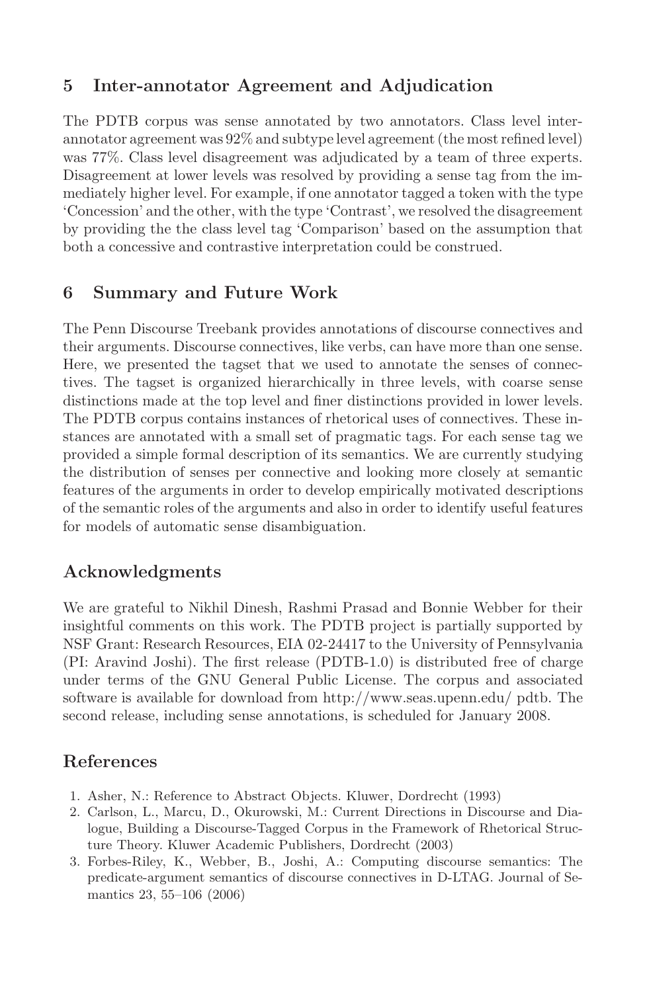## **5 Inter-annotator Agreement and Adjudication**

The PDTB corpus was sense annotated by two annotators. Class level interannotator agreement was  $92\%$  and subtype level agreement (the most refined level) was 77%. Class level disagreement was adjudicated by a team of three experts. Disagreement at lower levels was resolved by providing a sense tag from the immediately higher level. For example, if one annotator tagged a token with the type 'Concession' and the other, with the type 'Contrast', we resolved the disagreement by providing the the class level tag 'Comparison' based on the assumption that both a concessive and contrastive interpretation could be construed.

#### **6 Summary and Future Work**

The Penn Discourse Treebank provides annotations of discourse connectives and their arguments. Discourse connectives, like verbs, can have more than one sense. Here, we presented the tagset that we used to annotate the senses of connectives. The tagset is organized hierarchically in three levels, with coarse sense distinctions made at the top level and finer distinctions provided in lower levels. The PDTB corpus contains instances of rhetorical uses of connectives. These instances are annotated with a small set of pragmatic tags. For each sense tag we provided a simple formal description of its semantics. We are currently studying the distribution of senses per connective and looking more closely at semantic features of the arguments in order to develop empirically motivated descriptions of the semantic roles of the arguments and also in order to identify useful features for models of automatic sense disambiguation.

### **Acknowledgments**

We are grateful to Nikhil Dinesh, Rashmi Prasad and Bonnie Webber for their insightful comments on this work. The PDTB project is partially supported by NSF Grant: Research Resources, EIA 02-24417 to the University of Pennsylvania (PI: Aravind Joshi). The first release (PDTB-1.0) is distributed free of charge under terms of the GNU General Public License. The corpus and associated software is available for download from http://www.seas.upenn.edu/ pdtb. The second release, including sense annotations, is scheduled for January 2008.

#### <span id="page-12-2"></span>**References**

- <span id="page-12-0"></span>1. Asher, N.: Reference to Abstract Objects. Kluwer, Dordrecht (1993)
- 2. Carlson, L., Marcu, D., Okurowski, M.: Current Directions in Discourse and Dialogue, Building a Discourse-Tagged Corpus in the Framework of Rhetorical Structure Theory. Kluwer Academic Publishers, Dordrecht (2003)
- <span id="page-12-1"></span>3. Forbes-Riley, K., Webber, B., Joshi, A.: Computing discourse semantics: The predicate-argument semantics of discourse connectives in D-LTAG. Journal of Semantics 23, 55–106 (2006)